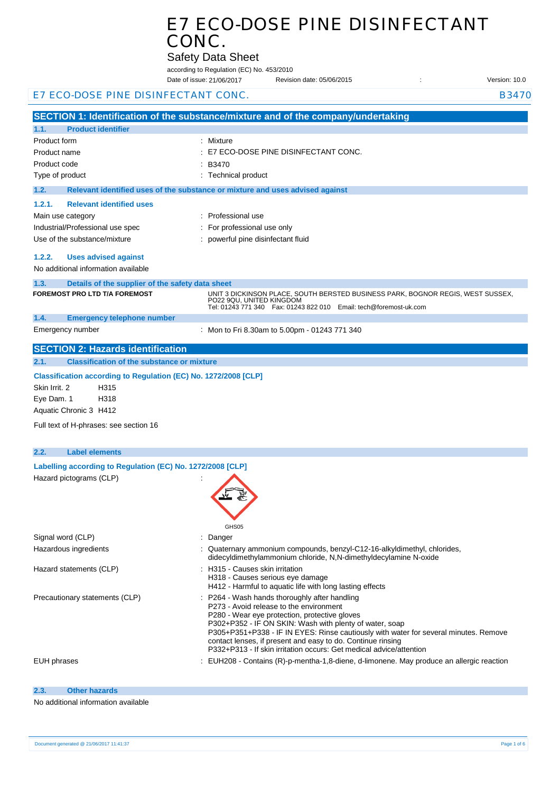Safety Data Sheet

according to Regulation (EC) No. 453/2010

|                                                                                       | Date of issue: 21/06/2017                     | Revision date: 05/06/2015                                                                                                                                  | Version: 10.0 |
|---------------------------------------------------------------------------------------|-----------------------------------------------|------------------------------------------------------------------------------------------------------------------------------------------------------------|---------------|
| E7 ECO-DOSE PINE DISINFECTANT CONC.                                                   |                                               |                                                                                                                                                            | <b>B3470</b>  |
| SECTION 1: Identification of the substance/mixture and of the company/undertaking     |                                               |                                                                                                                                                            |               |
| 1.1.<br><b>Product identifier</b>                                                     |                                               |                                                                                                                                                            |               |
| Product form                                                                          | : Mixture                                     |                                                                                                                                                            |               |
| Product name                                                                          | E7 ECO-DOSE PINE DISINFECTANT CONC.           |                                                                                                                                                            |               |
| Product code                                                                          | B3470                                         |                                                                                                                                                            |               |
| Type of product                                                                       | : Technical product                           |                                                                                                                                                            |               |
| 1.2.<br>Relevant identified uses of the substance or mixture and uses advised against |                                               |                                                                                                                                                            |               |
| 1.2.1.<br><b>Relevant identified uses</b>                                             |                                               |                                                                                                                                                            |               |
| Main use category                                                                     | : Professional use                            |                                                                                                                                                            |               |
| Industrial/Professional use spec                                                      | For professional use only                     |                                                                                                                                                            |               |
| Use of the substance/mixture                                                          | : powerful pine disinfectant fluid            |                                                                                                                                                            |               |
|                                                                                       |                                               |                                                                                                                                                            |               |
| 1.2.2.<br><b>Uses advised against</b>                                                 |                                               |                                                                                                                                                            |               |
| No additional information available                                                   |                                               |                                                                                                                                                            |               |
| 1.3.<br>Details of the supplier of the safety data sheet                              |                                               |                                                                                                                                                            |               |
| <b>FOREMOST PRO LTD T/A FOREMOST</b>                                                  | PO22 9QU, UNITED KINGDOM                      | UNIT 3 DICKINSON PLACE, SOUTH BERSTED BUSINESS PARK, BOGNOR REGIS, WEST SUSSEX,<br>Tel: 01243 771 340    Fax: 01243 822 010    Email: tech@foremost-uk.com |               |
| 1.4.<br><b>Emergency telephone number</b>                                             |                                               |                                                                                                                                                            |               |
| Emergency number                                                                      | : Mon to Fri 8.30am to 5.00pm - 01243 771 340 |                                                                                                                                                            |               |
| <b>SECTION 2: Hazards identification</b>                                              |                                               |                                                                                                                                                            |               |
| <b>Classification of the substance or mixture</b><br>2.1.                             |                                               |                                                                                                                                                            |               |
| Classification according to Regulation (EC) No. 1272/2008 [CLP]                       |                                               |                                                                                                                                                            |               |
| Skin Irrit. 2<br>H315                                                                 |                                               |                                                                                                                                                            |               |
| Eye Dam. 1<br>H318                                                                    |                                               |                                                                                                                                                            |               |
| Aquatic Chronic 3 H412                                                                |                                               |                                                                                                                                                            |               |
| Full text of H-phrases: see section 16                                                |                                               |                                                                                                                                                            |               |
|                                                                                       |                                               |                                                                                                                                                            |               |
| 2.2.<br><b>Label elements</b>                                                         |                                               |                                                                                                                                                            |               |
| Labelling according to Regulation (EC) No. 1272/2008 [CLP]                            |                                               |                                                                                                                                                            |               |
| Hazard pictograms (CLP)                                                               |                                               |                                                                                                                                                            |               |
|                                                                                       |                                               |                                                                                                                                                            |               |
|                                                                                       |                                               |                                                                                                                                                            |               |
|                                                                                       |                                               |                                                                                                                                                            |               |
|                                                                                       |                                               |                                                                                                                                                            |               |
| Signal word (CLP)                                                                     | GHS05<br>: Danger                             |                                                                                                                                                            |               |
| Hazardous ingredients                                                                 |                                               | : Quaternary ammonium compounds, benzyl-C12-16-alkyldimethyl, chlorides,                                                                                   |               |
|                                                                                       |                                               | didecyldimethylammonium chloride, N,N-dimethyldecylamine N-oxide                                                                                           |               |
| Hazard statements (CLP)                                                               | : H315 - Causes skin irritation               |                                                                                                                                                            |               |
|                                                                                       | H318 - Causes serious eye damage              | H412 - Harmful to aquatic life with long lasting effects                                                                                                   |               |
| Precautionary statements (CLP)                                                        | : P264 - Wash hands thoroughly after handling |                                                                                                                                                            |               |
|                                                                                       | P273 - Avoid release to the environment       |                                                                                                                                                            |               |
|                                                                                       | P280 - Wear eye protection, protective gloves | P302+P352 - IF ON SKIN: Wash with plenty of water, soap                                                                                                    |               |
|                                                                                       |                                               | P305+P351+P338 - IF IN EYES: Rinse cautiously with water for several minutes. Remove                                                                       |               |
|                                                                                       |                                               | contact lenses, if present and easy to do. Continue rinsing                                                                                                |               |
|                                                                                       |                                               | P332+P313 - If skin irritation occurs: Get medical advice/attention                                                                                        |               |
| <b>EUH</b> phrases                                                                    |                                               | EUH208 - Contains (R)-p-mentha-1,8-diene, d-limonene. May produce an allergic reaction                                                                     |               |
|                                                                                       |                                               |                                                                                                                                                            |               |
| <b>Other hazards</b><br>2.3.                                                          |                                               |                                                                                                                                                            |               |

No additional information available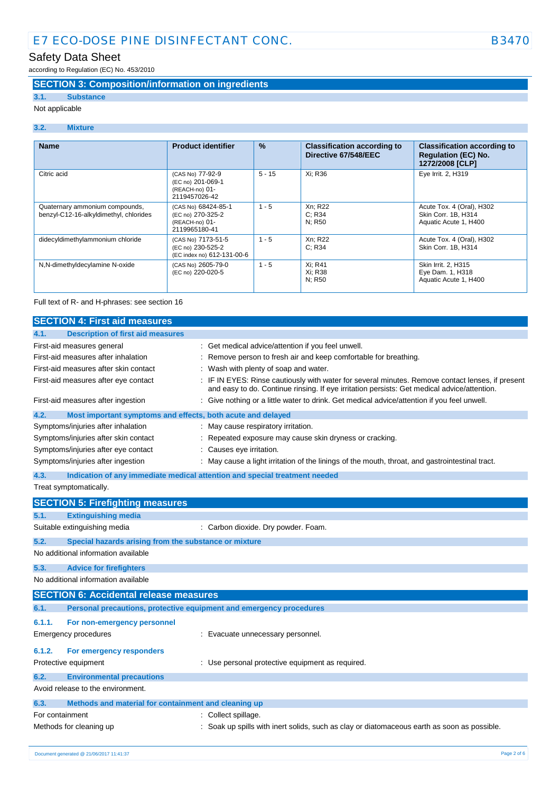## Safety Data Sheet

according to Regulation (EC) No. 453/2010

### **SECTION 3: Composition/information on ingredients**

## **3.1. Substance**

Not applicable

#### **3.2. Mixture**

| <b>Name</b>                                                              | <b>Product identifier</b>                                                   | $\frac{9}{6}$ | <b>Classification according to</b><br>Directive 67/548/EEC | <b>Classification according to</b><br><b>Regulation (EC) No.</b><br>1272/2008 [CLP] |
|--------------------------------------------------------------------------|-----------------------------------------------------------------------------|---------------|------------------------------------------------------------|-------------------------------------------------------------------------------------|
| Citric acid                                                              | (CAS No) 77-92-9<br>(EC no) 201-069-1<br>(REACH-no) 01-<br>2119457026-42    | $5 - 15$      | Xi: R36                                                    | Eye Irrit. 2, H319                                                                  |
| Quaternary ammonium compounds,<br>benzyl-C12-16-alkyldimethyl, chlorides | (CAS No) 68424-85-1<br>(EC no) 270-325-2<br>(REACH-no) 01-<br>2119965180-41 | $1 - 5$       | Xn; R22<br>C: R34<br>N: R50                                | Acute Tox. 4 (Oral), H302<br>Skin Corr. 1B, H314<br>Aquatic Acute 1, H400           |
| didecyldimethylammonium chloride                                         | (CAS No) 7173-51-5<br>(EC no) 230-525-2<br>(EC index no) 612-131-00-6       | $1 - 5$       | Xn; R22<br>C: R34                                          | Acute Tox. 4 (Oral), H302<br>Skin Corr. 1B, H314                                    |
| N,N-dimethyldecylamine N-oxide                                           | (CAS No) 2605-79-0<br>(EC no) 220-020-5                                     | $1 - 5$       | Xi: R41<br>Xi: R38<br>N: R50                               | Skin Irrit. 2, H315<br>Eye Dam. 1, H318<br>Aquatic Acute 1, H400                    |

#### Full text of R- and H-phrases: see section 16

| <b>SECTION 4: First aid measures</b>                                |                                                                                                                                                                                                 |
|---------------------------------------------------------------------|-------------------------------------------------------------------------------------------------------------------------------------------------------------------------------------------------|
| 4.1.<br><b>Description of first aid measures</b>                    |                                                                                                                                                                                                 |
| First-aid measures general                                          | : Get medical advice/attention if you feel unwell.                                                                                                                                              |
| First-aid measures after inhalation                                 | Remove person to fresh air and keep comfortable for breathing.                                                                                                                                  |
| First-aid measures after skin contact                               | : Wash with plenty of soap and water.                                                                                                                                                           |
| First-aid measures after eye contact                                | : IF IN EYES: Rinse cautiously with water for several minutes. Remove contact lenses, if present<br>and easy to do. Continue rinsing. If eye irritation persists: Get medical advice/attention. |
| First-aid measures after ingestion                                  | : Give nothing or a little water to drink. Get medical advice/attention if you feel unwell.                                                                                                     |
| 4.2.<br>Most important symptoms and effects, both acute and delayed |                                                                                                                                                                                                 |
| Symptoms/injuries after inhalation                                  | : May cause respiratory irritation.                                                                                                                                                             |
| Symptoms/injuries after skin contact                                | Repeated exposure may cause skin dryness or cracking.                                                                                                                                           |
| Symptoms/injuries after eye contact                                 | Causes eye irritation.                                                                                                                                                                          |
| Symptoms/injuries after ingestion                                   | : May cause a light irritation of the linings of the mouth, throat, and gastrointestinal tract.                                                                                                 |
| 4.3.                                                                | Indication of any immediate medical attention and special treatment needed                                                                                                                      |
| Treat symptomatically.                                              |                                                                                                                                                                                                 |
| <b>SECTION 5: Firefighting measures</b>                             |                                                                                                                                                                                                 |
| 5.1.<br><b>Extinguishing media</b>                                  |                                                                                                                                                                                                 |
| Suitable extinguishing media                                        | : Carbon dioxide. Dry powder. Foam.                                                                                                                                                             |
| 5.2.<br>Special hazards arising from the substance or mixture       |                                                                                                                                                                                                 |
| No additional information available                                 |                                                                                                                                                                                                 |
| 5.3.<br><b>Advice for firefighters</b>                              |                                                                                                                                                                                                 |
| No additional information available                                 |                                                                                                                                                                                                 |
| <b>SECTION 6: Accidental release measures</b>                       |                                                                                                                                                                                                 |
| 6.1.                                                                | Personal precautions, protective equipment and emergency procedures                                                                                                                             |
|                                                                     |                                                                                                                                                                                                 |
| 6.1.1.<br>For non-emergency personnel                               |                                                                                                                                                                                                 |
| <b>Emergency procedures</b>                                         | : Evacuate unnecessary personnel.                                                                                                                                                               |
| 6.1.2.<br>For emergency responders                                  |                                                                                                                                                                                                 |
| Protective equipment                                                | : Use personal protective equipment as required.                                                                                                                                                |
| 6.2.<br><b>Environmental precautions</b>                            |                                                                                                                                                                                                 |
| Avoid release to the environment.                                   |                                                                                                                                                                                                 |
| 6.3.<br>Methods and material for containment and cleaning up        |                                                                                                                                                                                                 |
| For containment                                                     | : Collect spillage.                                                                                                                                                                             |
| Methods for cleaning up                                             | Soak up spills with inert solids, such as clay or diatomaceous earth as soon as possible.                                                                                                       |
|                                                                     |                                                                                                                                                                                                 |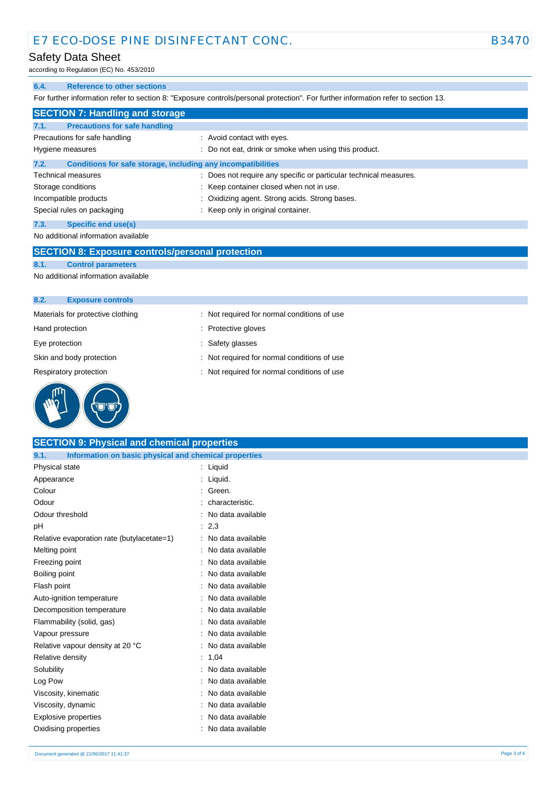### Safety Data Sheet

according to Regulation (EC) No. 453/2010

#### **6.4. Reference to other sections**

For further information refer to section 8: "Exposure controls/personal protection". For further information refer to section 13.

| <b>SECTION 7: Handling and storage</b>                               |                                                                   |
|----------------------------------------------------------------------|-------------------------------------------------------------------|
| 7.1.<br><b>Precautions for safe handling</b>                         |                                                                   |
| Precautions for safe handling                                        | : Avoid contact with eyes.                                        |
| Hygiene measures                                                     | : Do not eat, drink or smoke when using this product.             |
| 7.2.<br>Conditions for safe storage, including any incompatibilities |                                                                   |
| <b>Technical measures</b>                                            | : Does not require any specific or particular technical measures. |
| Storage conditions                                                   | : Keep container closed when not in use.                          |
| Incompatible products                                                | : Oxidizing agent. Strong acids. Strong bases.                    |
| Special rules on packaging                                           | : Keep only in original container.                                |
| 7.3.<br>Specific end use(s)                                          |                                                                   |
| No additional information available                                  |                                                                   |

#### **SECTION 8: Exposure controls/personal protection**

**8.1. Control parameters**

No additional information available

| <b>Exposure controls</b><br>8.2.  |                                             |
|-----------------------------------|---------------------------------------------|
| Materials for protective clothing | : Not required for normal conditions of use |
| Hand protection                   | : Protective gloves                         |
| Eye protection                    | : Safety glasses                            |
| Skin and body protection          | : Not required for normal conditions of use |
| Respiratory protection            | : Not required for normal conditions of use |
|                                   |                                             |



| <b>SECTION 9: Physical and chemical properties</b>            |                     |             |
|---------------------------------------------------------------|---------------------|-------------|
| Information on basic physical and chemical properties<br>9.1. |                     |             |
| Physical state                                                | : Liquid            |             |
| Appearance                                                    | : Liquid.           |             |
| Colour                                                        | Green.              |             |
| Odour                                                         | characteristic.     |             |
| Odour threshold                                               | No data available   |             |
| pН                                                            | : 2,3               |             |
| Relative evaporation rate (butylacetate=1)                    | : No data available |             |
| Melting point                                                 | No data available   |             |
| Freezing point                                                | No data available   |             |
| Boiling point                                                 | No data available   |             |
| Flash point                                                   | No data available   |             |
| Auto-ignition temperature                                     | : No data available |             |
| Decomposition temperature                                     | No data available   |             |
| Flammability (solid, gas)                                     | No data available   |             |
| Vapour pressure                                               | No data available   |             |
| Relative vapour density at 20 °C                              | No data available   |             |
| Relative density                                              | : 1,04              |             |
| Solubility                                                    | No data available   |             |
| Log Pow                                                       | No data available   |             |
| Viscosity, kinematic                                          | No data available   |             |
| Viscosity, dynamic                                            | No data available   |             |
| <b>Explosive properties</b>                                   | No data available   |             |
| Oxidising properties                                          | : No data available |             |
| Document generated @ 21/06/2017 11:41:37                      |                     | Page 3 of 6 |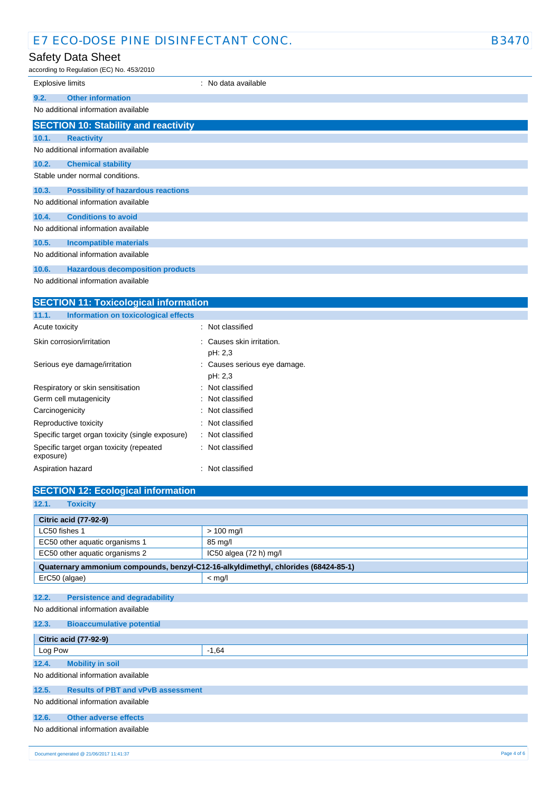## Safety Data Sheet

according to Regulation (EC) No. 453/2010

|                                     | according to Regulation (EC) No. 453/2010   |                     |
|-------------------------------------|---------------------------------------------|---------------------|
| <b>Explosive limits</b>             |                                             | : No data available |
| 9.2.                                | <b>Other information</b>                    |                     |
|                                     | No additional information available         |                     |
|                                     | <b>SECTION 10: Stability and reactivity</b> |                     |
| 10.1.                               | <b>Reactivity</b>                           |                     |
|                                     | No additional information available         |                     |
| 10.2.                               | <b>Chemical stability</b>                   |                     |
|                                     | Stable under normal conditions.             |                     |
| 10.3.                               | <b>Possibility of hazardous reactions</b>   |                     |
|                                     | No additional information available         |                     |
| 10.4.                               | <b>Conditions to avoid</b>                  |                     |
| No additional information available |                                             |                     |
| 10.5.                               | <b>Incompatible materials</b>               |                     |
| No additional information available |                                             |                     |

### **10.6. Hazardous decomposition products**

No additional information available

| <b>SECTION 11: Toxicological information</b>          |                                         |  |  |
|-------------------------------------------------------|-----------------------------------------|--|--|
| Information on toxicological effects<br>11.1.         |                                         |  |  |
| Acute toxicity                                        | : Not classified                        |  |  |
| Skin corrosion/irritation                             | Causes skin irritation.<br>pH: 2,3      |  |  |
| Serious eye damage/irritation                         | : Causes serious eye damage.<br>pH: 2,3 |  |  |
| Respiratory or skin sensitisation                     | : Not classified                        |  |  |
| Germ cell mutagenicity                                | : Not classified                        |  |  |
| Carcinogenicity                                       | Not classified                          |  |  |
| Reproductive toxicity                                 | : Not classified                        |  |  |
| Specific target organ toxicity (single exposure)      | Not classified                          |  |  |
| Specific target organ toxicity (repeated<br>exposure) | : Not classified                        |  |  |
| Aspiration hazard                                     | Not classified                          |  |  |

| <b>SECTION 12: Ecological information</b>                                          |                              |  |  |  |
|------------------------------------------------------------------------------------|------------------------------|--|--|--|
| 12.1.<br><b>Toxicity</b>                                                           |                              |  |  |  |
|                                                                                    |                              |  |  |  |
|                                                                                    | <b>Citric acid (77-92-9)</b> |  |  |  |
| LC50 fishes 1                                                                      | $> 100$ mg/l                 |  |  |  |
| EC50 other aquatic organisms 1                                                     | 85 mg/l                      |  |  |  |
| EC50 other aquatic organisms 2                                                     | $IC50$ algea $(72 h)$ mg/l   |  |  |  |
| Quaternary ammonium compounds, benzyl-C12-16-alkyldimethyl, chlorides (68424-85-1) |                              |  |  |  |
| ErC50 (algae)                                                                      | $<$ mg/l                     |  |  |  |
|                                                                                    |                              |  |  |  |
| 12.2.<br><b>Persistence and degradability</b>                                      |                              |  |  |  |
| No additional information available                                                |                              |  |  |  |
| 12.3.<br><b>Bioaccumulative potential</b>                                          |                              |  |  |  |
|                                                                                    |                              |  |  |  |
| <b>Citric acid (77-92-9)</b>                                                       |                              |  |  |  |
| Log Pow                                                                            | $-1.64$                      |  |  |  |
| 12.4.<br><b>Mobility in soil</b>                                                   |                              |  |  |  |
| No additional information available                                                |                              |  |  |  |
| <b>Results of PBT and vPvB assessment</b><br>12.5.                                 |                              |  |  |  |
| No additional information available                                                |                              |  |  |  |
|                                                                                    |                              |  |  |  |
| 12.6.<br>Other adverse effects                                                     |                              |  |  |  |
| No additional information available                                                |                              |  |  |  |
|                                                                                    |                              |  |  |  |
|                                                                                    |                              |  |  |  |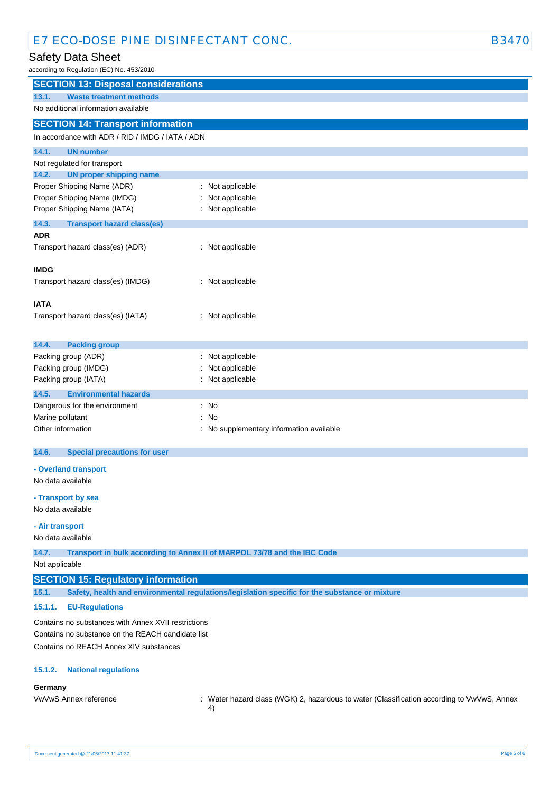## Safety Data Sheet

according to Regulation (EC) No. 453/2010

| according to regulation (LO) rec.                                      |                                                                                                  |  |
|------------------------------------------------------------------------|--------------------------------------------------------------------------------------------------|--|
| <b>SECTION 13: Disposal considerations</b>                             |                                                                                                  |  |
| <b>Waste treatment methods</b><br>13.1.                                |                                                                                                  |  |
| No additional information available                                    |                                                                                                  |  |
| <b>SECTION 14: Transport information</b>                               |                                                                                                  |  |
| In accordance with ADR / RID / IMDG / IATA / ADN                       |                                                                                                  |  |
| 14.1.<br><b>UN number</b>                                              |                                                                                                  |  |
| Not regulated for transport                                            |                                                                                                  |  |
| 14.2.<br><b>UN proper shipping name</b>                                |                                                                                                  |  |
| Proper Shipping Name (ADR)                                             | : Not applicable                                                                                 |  |
| Proper Shipping Name (IMDG)                                            | : Not applicable                                                                                 |  |
| Proper Shipping Name (IATA)                                            | : Not applicable                                                                                 |  |
| 14.3.<br><b>Transport hazard class(es)</b>                             |                                                                                                  |  |
| <b>ADR</b>                                                             |                                                                                                  |  |
| Transport hazard class(es) (ADR)                                       | : Not applicable                                                                                 |  |
| <b>IMDG</b>                                                            |                                                                                                  |  |
| Transport hazard class(es) (IMDG)                                      | : Not applicable                                                                                 |  |
|                                                                        |                                                                                                  |  |
| <b>IATA</b>                                                            |                                                                                                  |  |
| Transport hazard class(es) (IATA)                                      | : Not applicable                                                                                 |  |
|                                                                        |                                                                                                  |  |
|                                                                        |                                                                                                  |  |
| 14.4.<br><b>Packing group</b><br>Packing group (ADR)                   | : Not applicable                                                                                 |  |
| Packing group (IMDG)                                                   | : Not applicable                                                                                 |  |
| Packing group (IATA)                                                   | : Not applicable                                                                                 |  |
|                                                                        |                                                                                                  |  |
| 14.5.<br><b>Environmental hazards</b><br>Dangerous for the environment | : No                                                                                             |  |
| Marine pollutant                                                       | : No                                                                                             |  |
| Other information                                                      | : No supplementary information available                                                         |  |
|                                                                        |                                                                                                  |  |
| 14.6.<br><b>Special precautions for user</b>                           |                                                                                                  |  |
| - Overland transport                                                   |                                                                                                  |  |
| No data available                                                      |                                                                                                  |  |
|                                                                        |                                                                                                  |  |
| - Transport by sea                                                     |                                                                                                  |  |
| No data available                                                      |                                                                                                  |  |
| - Air transport                                                        |                                                                                                  |  |
| No data available                                                      |                                                                                                  |  |
| 14.7.                                                                  | Transport in bulk according to Annex II of MARPOL 73/78 and the IBC Code                         |  |
| Not applicable                                                         |                                                                                                  |  |
| <b>SECTION 15: Regulatory information</b>                              |                                                                                                  |  |
| 15.1.                                                                  | Safety, health and environmental regulations/legislation specific for the substance or mixture   |  |
| 15.1.1.<br><b>EU-Regulations</b>                                       |                                                                                                  |  |
| Contains no substances with Annex XVII restrictions                    |                                                                                                  |  |
| Contains no substance on the REACH candidate list                      |                                                                                                  |  |
| Contains no REACH Annex XIV substances                                 |                                                                                                  |  |
| 15.1.2.<br><b>National regulations</b>                                 |                                                                                                  |  |
| Germany                                                                |                                                                                                  |  |
| VwVwS Annex reference                                                  | : Water hazard class (WGK) 2, hazardous to water (Classification according to VwVwS, Annex<br>4) |  |